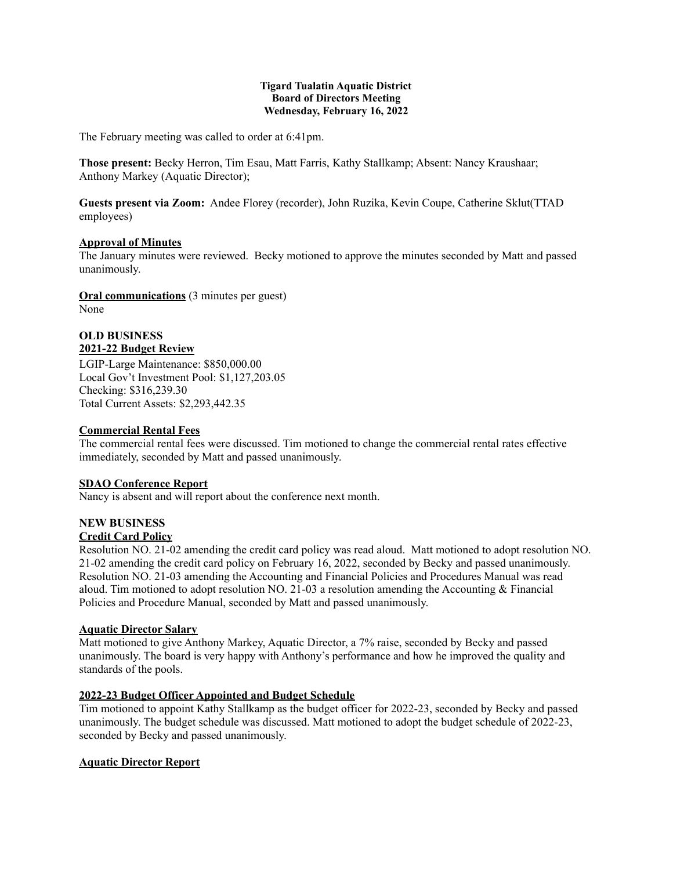#### **Tigard Tualatin Aquatic District Board of Directors Meeting Wednesday, February 16, 2022**

The February meeting was called to order at 6:41pm.

**Those present:** Becky Herron, Tim Esau, Matt Farris, Kathy Stallkamp; Absent: Nancy Kraushaar; Anthony Markey (Aquatic Director);

**Guests present via Zoom:** Andee Florey (recorder), John Ruzika, Kevin Coupe, Catherine Sklut(TTAD employees)

## **Approval of Minutes**

The January minutes were reviewed. Becky motioned to approve the minutes seconded by Matt and passed unanimously.

**Oral communications** (3 minutes per guest) None

## **OLD BUSINESS 2021-22 Budget Review**

LGIP-Large Maintenance: \$850,000.00 Local Gov't Investment Pool: \$1,127,203.05 Checking: \$316,239.30 Total Current Assets: \$2,293,442.35

# **Commercial Rental Fees**

The commercial rental fees were discussed. Tim motioned to change the commercial rental rates effective immediately, seconded by Matt and passed unanimously.

# **SDAO Conference Report**

Nancy is absent and will report about the conference next month.

# **NEW BUSINESS**

# **Credit Card Policy**

Resolution NO. 21-02 amending the credit card policy was read aloud. Matt motioned to adopt resolution NO. 21-02 amending the credit card policy on February 16, 2022, seconded by Becky and passed unanimously. Resolution NO. 21-03 amending the Accounting and Financial Policies and Procedures Manual was read aloud. Tim motioned to adopt resolution NO. 21-03 a resolution amending the Accounting  $&$  Financial Policies and Procedure Manual, seconded by Matt and passed unanimously.

#### **Aquatic Director Salary**

Matt motioned to give Anthony Markey, Aquatic Director, a 7% raise, seconded by Becky and passed unanimously. The board is very happy with Anthony's performance and how he improved the quality and standards of the pools.

#### **2022-23 Budget Officer Appointed and Budget Schedule**

Tim motioned to appoint Kathy Stallkamp as the budget officer for 2022-23, seconded by Becky and passed unanimously. The budget schedule was discussed. Matt motioned to adopt the budget schedule of 2022-23, seconded by Becky and passed unanimously.

# **Aquatic Director Report**